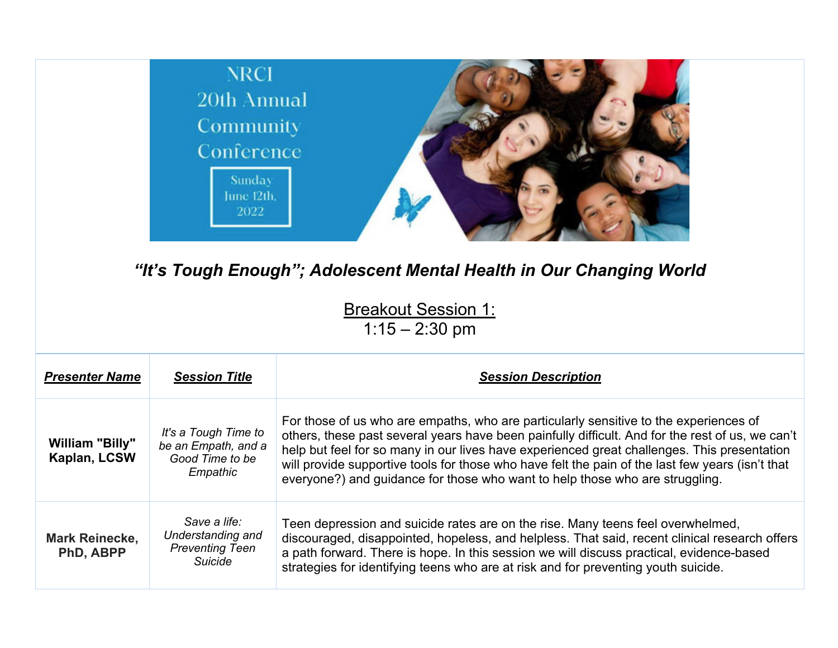

## *"It's Tough Enough"; Adolescent Mental Health in Our Changing World*

**Breakout Session 1:** 

1:15 – 2:30 pm

| <b>Presenter Name</b>                     | <b>Session Title</b>                                                       | <b>Session Description</b>                                                                                                                                                                                                                                                                                                                                                                                                                                                   |
|-------------------------------------------|----------------------------------------------------------------------------|------------------------------------------------------------------------------------------------------------------------------------------------------------------------------------------------------------------------------------------------------------------------------------------------------------------------------------------------------------------------------------------------------------------------------------------------------------------------------|
| William "Billy"<br>Kaplan, LCSW           | It's a Tough Time to<br>be an Empath, and a<br>Good Time to be<br>Empathic | For those of us who are empaths, who are particularly sensitive to the experiences of<br>others, these past several years have been painfully difficult. And for the rest of us, we can't<br>help but feel for so many in our lives have experienced great challenges. This presentation<br>will provide supportive tools for those who have felt the pain of the last few years (isn't that<br>everyone?) and guidance for those who want to help those who are struggling. |
| <b>Mark Reinecke,</b><br><b>PhD, ABPP</b> | Save a life:<br>Understanding and<br><b>Preventing Teen</b><br>Suicide     | Teen depression and suicide rates are on the rise. Many teens feel overwhelmed,<br>discouraged, disappointed, hopeless, and helpless. That said, recent clinical research offers<br>a path forward. There is hope. In this session we will discuss practical, evidence-based<br>strategies for identifying teens who are at risk and for preventing youth suicide.                                                                                                           |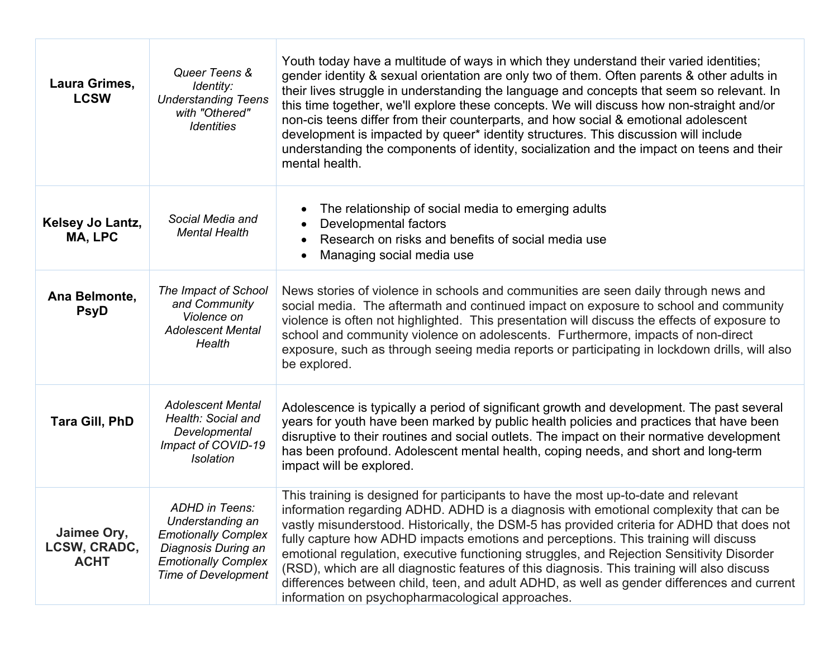| Laura Grimes,<br><b>LCSW</b>               | Queer Teens &<br>Identity:<br><b>Understanding Teens</b><br>with "Othered"<br><b>Identities</b>                                                            | Youth today have a multitude of ways in which they understand their varied identities;<br>gender identity & sexual orientation are only two of them. Often parents & other adults in<br>their lives struggle in understanding the language and concepts that seem so relevant. In<br>this time together, we'll explore these concepts. We will discuss how non-straight and/or<br>non-cis teens differ from their counterparts, and how social & emotional adolescent<br>development is impacted by queer* identity structures. This discussion will include<br>understanding the components of identity, socialization and the impact on teens and their<br>mental health.                                     |
|--------------------------------------------|------------------------------------------------------------------------------------------------------------------------------------------------------------|-----------------------------------------------------------------------------------------------------------------------------------------------------------------------------------------------------------------------------------------------------------------------------------------------------------------------------------------------------------------------------------------------------------------------------------------------------------------------------------------------------------------------------------------------------------------------------------------------------------------------------------------------------------------------------------------------------------------|
| Kelsey Jo Lantz,<br>MA, LPC                | Social Media and<br><b>Mental Health</b>                                                                                                                   | The relationship of social media to emerging adults<br>Developmental factors<br>Research on risks and benefits of social media use<br>Managing social media use                                                                                                                                                                                                                                                                                                                                                                                                                                                                                                                                                 |
| Ana Belmonte,<br><b>PsyD</b>               | The Impact of School<br>and Community<br>Violence on<br><b>Adolescent Mental</b><br>Health                                                                 | News stories of violence in schools and communities are seen daily through news and<br>social media. The aftermath and continued impact on exposure to school and community<br>violence is often not highlighted. This presentation will discuss the effects of exposure to<br>school and community violence on adolescents. Furthermore, impacts of non-direct<br>exposure, such as through seeing media reports or participating in lockdown drills, will also<br>be explored.                                                                                                                                                                                                                                |
| <b>Tara Gill, PhD</b>                      | <b>Adolescent Mental</b><br>Health: Social and<br>Developmental<br>Impact of COVID-19<br><b>Isolation</b>                                                  | Adolescence is typically a period of significant growth and development. The past several<br>years for youth have been marked by public health policies and practices that have been<br>disruptive to their routines and social outlets. The impact on their normative development<br>has been profound. Adolescent mental health, coping needs, and short and long-term<br>impact will be explored.                                                                                                                                                                                                                                                                                                            |
| Jaimee Ory,<br>LCSW, CRADC,<br><b>ACHT</b> | <b>ADHD</b> in Teens:<br>Understanding an<br><b>Emotionally Complex</b><br>Diagnosis During an<br><b>Emotionally Complex</b><br><b>Time of Development</b> | This training is designed for participants to have the most up-to-date and relevant<br>information regarding ADHD. ADHD is a diagnosis with emotional complexity that can be<br>vastly misunderstood. Historically, the DSM-5 has provided criteria for ADHD that does not<br>fully capture how ADHD impacts emotions and perceptions. This training will discuss<br>emotional regulation, executive functioning struggles, and Rejection Sensitivity Disorder<br>(RSD), which are all diagnostic features of this diagnosis. This training will also discuss<br>differences between child, teen, and adult ADHD, as well as gender differences and current<br>information on psychopharmacological approaches. |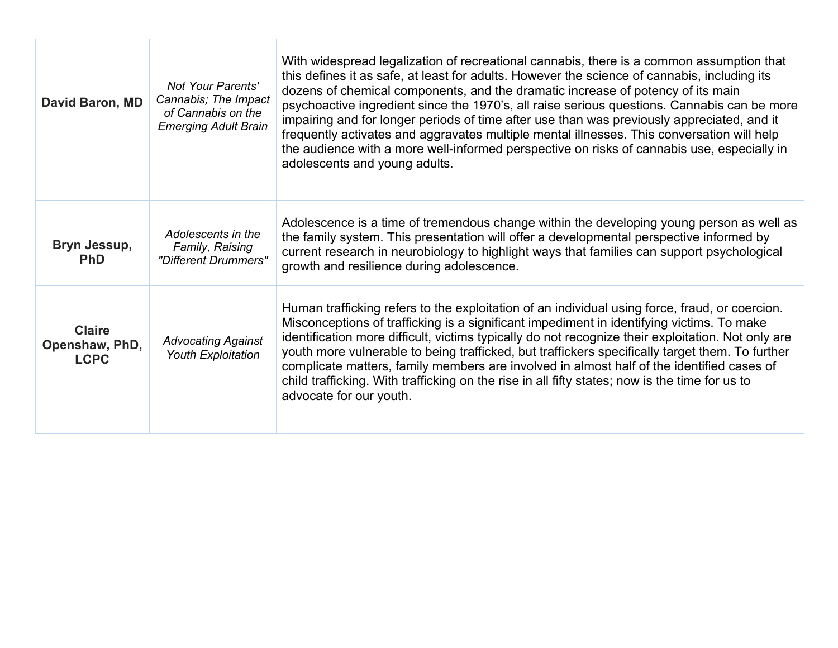| David Baron, MD                                | Not Your Parents'<br>Cannabis; The Impact<br>of Cannabis on the<br><b>Emerging Adult Brain</b> | With widespread legalization of recreational cannabis, there is a common assumption that<br>this defines it as safe, at least for adults. However the science of cannabis, including its<br>dozens of chemical components, and the dramatic increase of potency of its main<br>psychoactive ingredient since the 1970's, all raise serious questions. Cannabis can be more<br>impairing and for longer periods of time after use than was previously appreciated, and it<br>frequently activates and aggravates multiple mental illnesses. This conversation will help<br>the audience with a more well-informed perspective on risks of cannabis use, especially in<br>adolescents and young adults. |
|------------------------------------------------|------------------------------------------------------------------------------------------------|-------------------------------------------------------------------------------------------------------------------------------------------------------------------------------------------------------------------------------------------------------------------------------------------------------------------------------------------------------------------------------------------------------------------------------------------------------------------------------------------------------------------------------------------------------------------------------------------------------------------------------------------------------------------------------------------------------|
| Bryn Jessup,<br><b>PhD</b>                     | Adolescents in the<br>Family, Raising<br>"Different Drummers"                                  | Adolescence is a time of tremendous change within the developing young person as well as<br>the family system. This presentation will offer a developmental perspective informed by<br>current research in neurobiology to highlight ways that families can support psychological<br>growth and resilience during adolescence.                                                                                                                                                                                                                                                                                                                                                                        |
| <b>Claire</b><br>Openshaw, PhD,<br><b>LCPC</b> | <b>Advocating Against</b><br><b>Youth Exploitation</b>                                         | Human trafficking refers to the exploitation of an individual using force, fraud, or coercion.<br>Misconceptions of trafficking is a significant impediment in identifying victims. To make<br>identification more difficult, victims typically do not recognize their exploitation. Not only are<br>youth more vulnerable to being trafficked, but traffickers specifically target them. To further<br>complicate matters, family members are involved in almost half of the identified cases of<br>child trafficking. With trafficking on the rise in all fifty states; now is the time for us to<br>advocate for our youth.                                                                        |

 $\Box$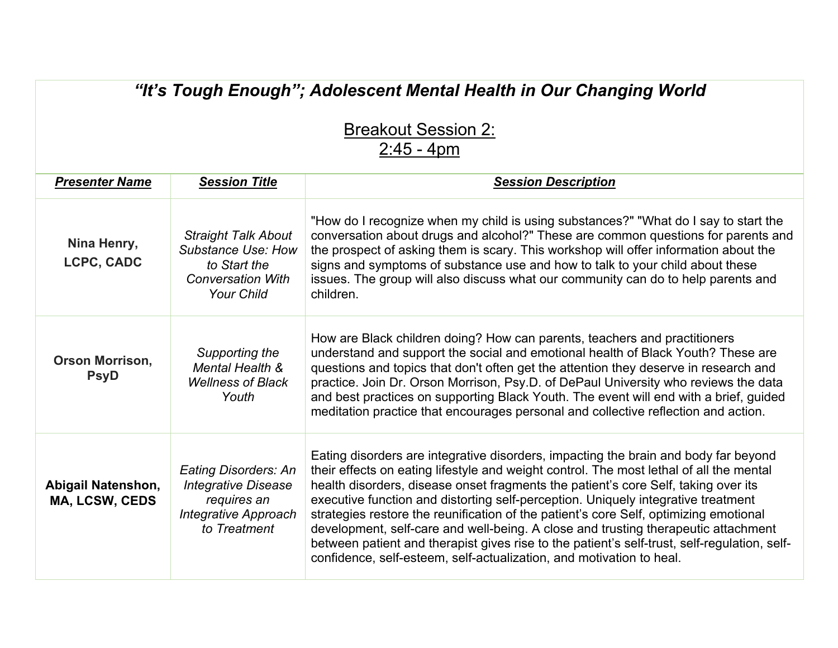## *"It's Tough Enough"; Adolescent Mental Health in Our Changing World*

| <b>Breakout Session 2:</b> |
|----------------------------|
| $2:45 - 4pm$               |

| <b>Presenter Name</b>                       | <b>Session Title</b>                                                                                                     | <b>Session Description</b>                                                                                                                                                                                                                                                                                                                                                                                                                                                                                                                                                                                                                                                                                       |
|---------------------------------------------|--------------------------------------------------------------------------------------------------------------------------|------------------------------------------------------------------------------------------------------------------------------------------------------------------------------------------------------------------------------------------------------------------------------------------------------------------------------------------------------------------------------------------------------------------------------------------------------------------------------------------------------------------------------------------------------------------------------------------------------------------------------------------------------------------------------------------------------------------|
| Nina Henry,<br>LCPC, CADC                   | <b>Straight Talk About</b><br><b>Substance Use: How</b><br>to Start the<br><b>Conversation With</b><br><b>Your Child</b> | "How do I recognize when my child is using substances?" "What do I say to start the<br>conversation about drugs and alcohol?" These are common questions for parents and<br>the prospect of asking them is scary. This workshop will offer information about the<br>signs and symptoms of substance use and how to talk to your child about these<br>issues. The group will also discuss what our community can do to help parents and<br>children.                                                                                                                                                                                                                                                              |
| <b>Orson Morrison,</b><br><b>PsyD</b>       | Supporting the<br>Mental Health &<br><b>Wellness of Black</b><br>Youth                                                   | How are Black children doing? How can parents, teachers and practitioners<br>understand and support the social and emotional health of Black Youth? These are<br>questions and topics that don't often get the attention they deserve in research and<br>practice. Join Dr. Orson Morrison, Psy.D. of DePaul University who reviews the data<br>and best practices on supporting Black Youth. The event will end with a brief, guided<br>meditation practice that encourages personal and collective reflection and action.                                                                                                                                                                                      |
| <b>Abigail Natenshon,</b><br>MA, LCSW, CEDS | Eating Disorders: An<br><b>Integrative Disease</b><br>requires an<br><b>Integrative Approach</b><br>to Treatment         | Eating disorders are integrative disorders, impacting the brain and body far beyond<br>their effects on eating lifestyle and weight control. The most lethal of all the mental<br>health disorders, disease onset fragments the patient's core Self, taking over its<br>executive function and distorting self-perception. Uniquely integrative treatment<br>strategies restore the reunification of the patient's core Self, optimizing emotional<br>development, self-care and well-being. A close and trusting therapeutic attachment<br>between patient and therapist gives rise to the patient's self-trust, self-regulation, self-<br>confidence, self-esteem, self-actualization, and motivation to heal. |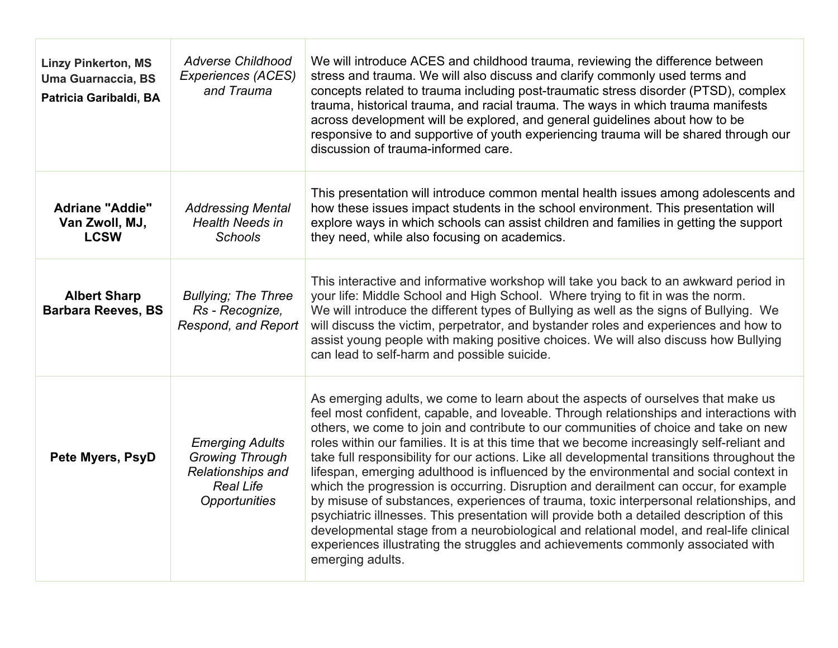| <b>Linzy Pinkerton, MS</b><br><b>Uma Guarnaccia, BS</b><br>Patricia Garibaldi, BA | <b>Adverse Childhood</b><br><b>Experiences (ACES)</b><br>and Trauma                                        | We will introduce ACES and childhood trauma, reviewing the difference between<br>stress and trauma. We will also discuss and clarify commonly used terms and<br>concepts related to trauma including post-traumatic stress disorder (PTSD), complex<br>trauma, historical trauma, and racial trauma. The ways in which trauma manifests<br>across development will be explored, and general guidelines about how to be<br>responsive to and supportive of youth experiencing trauma will be shared through our<br>discussion of trauma-informed care.                                                                                                                                                                                                                                                                                                                                                                                                                                                                                      |
|-----------------------------------------------------------------------------------|------------------------------------------------------------------------------------------------------------|--------------------------------------------------------------------------------------------------------------------------------------------------------------------------------------------------------------------------------------------------------------------------------------------------------------------------------------------------------------------------------------------------------------------------------------------------------------------------------------------------------------------------------------------------------------------------------------------------------------------------------------------------------------------------------------------------------------------------------------------------------------------------------------------------------------------------------------------------------------------------------------------------------------------------------------------------------------------------------------------------------------------------------------------|
| <b>Adriane "Addie"</b><br>Van Zwoll, MJ,<br><b>LCSW</b>                           | <b>Addressing Mental</b><br><b>Health Needs in</b><br><b>Schools</b>                                       | This presentation will introduce common mental health issues among adolescents and<br>how these issues impact students in the school environment. This presentation will<br>explore ways in which schools can assist children and families in getting the support<br>they need, while also focusing on academics.                                                                                                                                                                                                                                                                                                                                                                                                                                                                                                                                                                                                                                                                                                                          |
| <b>Albert Sharp</b><br><b>Barbara Reeves, BS</b>                                  | <b>Bullying; The Three</b><br>Rs - Recognize,<br>Respond, and Report                                       | This interactive and informative workshop will take you back to an awkward period in<br>your life: Middle School and High School. Where trying to fit in was the norm.<br>We will introduce the different types of Bullying as well as the signs of Bullying. We<br>will discuss the victim, perpetrator, and bystander roles and experiences and how to<br>assist young people with making positive choices. We will also discuss how Bullying<br>can lead to self-harm and possible suicide.                                                                                                                                                                                                                                                                                                                                                                                                                                                                                                                                             |
| <b>Pete Myers, PsyD</b>                                                           | <b>Emerging Adults</b><br><b>Growing Through</b><br>Relationships and<br><b>Real Life</b><br>Opportunities | As emerging adults, we come to learn about the aspects of ourselves that make us<br>feel most confident, capable, and loveable. Through relationships and interactions with<br>others, we come to join and contribute to our communities of choice and take on new<br>roles within our families. It is at this time that we become increasingly self-reliant and<br>take full responsibility for our actions. Like all developmental transitions throughout the<br>lifespan, emerging adulthood is influenced by the environmental and social context in<br>which the progression is occurring. Disruption and derailment can occur, for example<br>by misuse of substances, experiences of trauma, toxic interpersonal relationships, and<br>psychiatric illnesses. This presentation will provide both a detailed description of this<br>developmental stage from a neurobiological and relational model, and real-life clinical<br>experiences illustrating the struggles and achievements commonly associated with<br>emerging adults. |